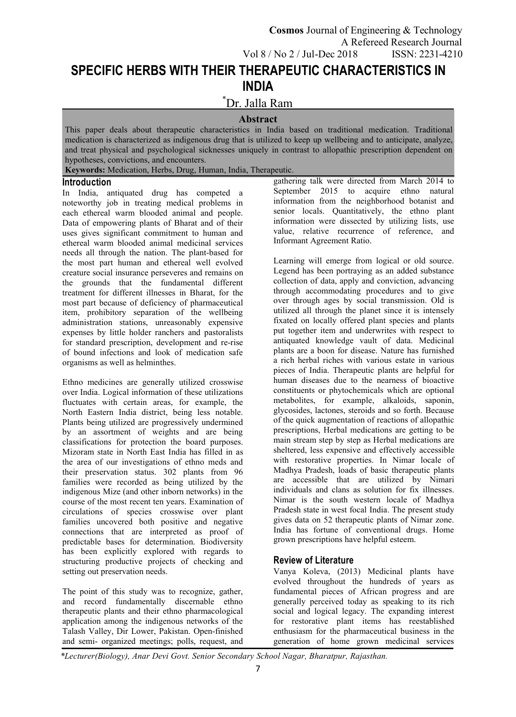# **SPECIFIC HERBS WITH THEIR THERAPEUTIC CHARACTERISTICS IN INDIA**

# \*Dr. Jalla Ram

# **Abstract**

This paper deals about therapeutic characteristics in India based on traditional medication. Traditional medication is characterized as indigenous drug that is utilized to keep up wellbeing and to anticipate, analyze, and treat physical and psychological sicknesses uniquely in contrast to allopathic prescription dependent on hypotheses, convictions, and encounters.

**Keywords:** Medication, Herbs, Drug, Human, India, Therapeutic.

### **Introduction**

In India, antiquated drug has competed a noteworthy job in treating medical problems in each ethereal warm blooded animal and people. Data of empowering plants of Bharat and of their uses gives significant commitment to human and ethereal warm blooded animal medicinal services needs all through the nation. The plant-based for the most part human and ethereal well evolved creature social insurance perseveres and remains on the grounds that the fundamental different treatment for different illnesses in Bharat, for the most part because of deficiency of pharmaceutical item, prohibitory separation of the wellbeing administration stations, unreasonably expensive expenses by little holder ranchers and pastoralists for standard prescription, development and re-rise of bound infections and look of medication safe organisms as well as helminthes.

Ethno medicines are generally utilized crosswise over India. Logical information of these utilizations fluctuates with certain areas, for example, the North Eastern India district, being less notable. Plants being utilized are progressively undermined by an assortment of weights and are being classifications for protection the board purposes. Mizoram state in North East India has filled in as the area of our investigations of ethno meds and their preservation status. 302 plants from 96 families were recorded as being utilized by the indigenous Mize (and other inborn networks) in the course of the most recent ten years. Examination of circulations of species crosswise over plant families uncovered both positive and negative connections that are interpreted as proof of predictable bases for determination. Biodiversity has been explicitly explored with regards to structuring productive projects of checking and setting out preservation needs.

The point of this study was to recognize, gather, and record fundamentally discernable ethno therapeutic plants and their ethno pharmacological application among the indigenous networks of the Talash Valley, Dir Lower, Pakistan. Open-finished and semi- organized meetings; polls, request, and gathering talk were directed from March 2014 to September 2015 to acquire ethno natural information from the neighborhood botanist and senior locals. Quantitatively, the ethno plant information were dissected by utilizing lists, use value, relative recurrence of reference, and Informant Agreement Ratio.

Learning will emerge from logical or old source. Legend has been portraying as an added substance collection of data, apply and conviction, advancing through accommodating procedures and to give over through ages by social transmission. Old is utilized all through the planet since it is intensely fixated on locally offered plant species and plants put together item and underwrites with respect to antiquated knowledge vault of data. Medicinal plants are a boon for disease. Nature has furnished a rich herbal riches with various estate in various pieces of India. Therapeutic plants are helpful for human diseases due to the nearness of bioactive constituents or phytochemicals which are optional metabolites, for example, alkaloids, saponin, glycosides, lactones, steroids and so forth. Because of the quick augmentation of reactions of allopathic prescriptions, Herbal medications are getting to be main stream step by step as Herbal medications are sheltered, less expensive and effectively accessible with restorative properties. In Nimar locale of Madhya Pradesh, loads of basic therapeutic plants are accessible that are utilized by Nimari individuals and clans as solution for fix illnesses. Nimar is the south western locale of Madhya Pradesh state in west focal India. The present study gives data on 52 therapeutic plants of Nimar zone. India has fortune of conventional drugs. Home grown prescriptions have helpful esteem.

# **Review of Literature**

Vanya Koleva, (2013) Medicinal plants have evolved throughout the hundreds of years as fundamental pieces of African progress and are generally perceived today as speaking to its rich social and logical legacy. The expanding interest for restorative plant items has reestablished enthusiasm for the pharmaceutical business in the generation of home grown medicinal services

*\*Lecturer(Biology), Anar Devi Govt. Senior Secondary School Nagar, Bharatpur, Rajasthan.*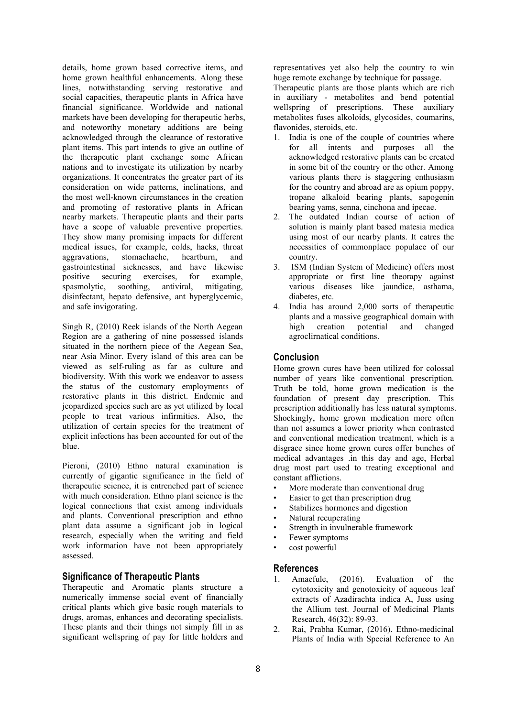details, home grown based corrective items, and home grown healthful enhancements. Along these lines, notwithstanding serving restorative and social capacities, therapeutic plants in Africa have financial significance. Worldwide and national markets have been developing for therapeutic herbs, and noteworthy monetary additions are being acknowledged through the clearance of restorative plant items. This part intends to give an outline of the therapeutic plant exchange some African nations and to investigate its utilization by nearby organizations. It concentrates the greater part of its consideration on wide patterns, inclinations, and the most well-known circumstances in the creation and promoting of restorative plants in African nearby markets. Therapeutic plants and their parts have a scope of valuable preventive properties. They show many promising impacts for different medical issues, for example, colds, hacks, throat aggravations, stomachache, heartburn, and gastrointestinal sicknesses, and have likewise positive securing exercises, for example, spasmolytic, soothing, antiviral, mitigating, disinfectant, hepato defensive, ant hyperglycemic,<br>and safe invigorating. 4. and safe invigorating.

Singh R, (2010) Reek islands of the North Aegean high creation Region are a gathering of nine possessed islands situated in the northern piece of the Aegean Sea, near Asia Minor. Every island of this area can be viewed as self-ruling as far as culture and biodiversity. With this work we endeavor to assess the status of the customary employments of restorative plants in this district. Endemic and jeopardized species such are as yet utilized by local people to treat various infirmities. Also, the utilization of certain species for the treatment of explicit infections has been accounted for out of the blue.

Pieroni, (2010) Ethno natural examination is currently of gigantic significance in the field of therapeutic science, it is entrenched part of science with much consideration. Ethno plant science is the logical connections that exist among individuals and plants. Conventional prescription and ethno plant data assume a significant job in logical research, especially when the writing and field work information have not been appropriately assessed.

## **Significance of Therapeutic Plants**

Therapeutic and Aromatic plants structure a numerically immense social event of financially critical plants which give basic rough materials to These plants and their things not simply fill in as  $\qquad \qquad 2.$ significant wellspring of pay for little holders and

representatives yet also help the country to win huge remote exchange by technique for passage.

Therapeutic plants are those plants which are rich in auxiliary - metabolites and bend potential wellspring of prescriptions. These auxiliary metabolites fuses alkoloids, glycosides, coumarins, flavonides, steroids, etc.

- 1. India is one of the couple of countries where for all intents and purposes all the acknowledged restorative plants can be created in some bit of the country or the other. Among various plants there is staggering enthusiasm for the country and abroad are as opium poppy, tropane alkaloid bearing plants, sapogenin bearing yams, senna, cinchona and ipecae.
- 2. The outdated Indian course of action of solution is mainly plant based matesia medica using most of our nearby plants. It catres the necessities of commonplace populace of our country.
- ISM (Indian System of Medicine) offers most appropriate or first line theorapy against various diseases like jaundice, asthama, diabetes, etc.
- 4. India has around 2,000 sorts of therapeutic plants and a massive geographical domain with potential and changed agroclirnatical conditions.

### **Conclusion**

Home grown cures have been utilized for colossal number of years like conventional prescription. Truth be told, home grown medication is the foundation of present day prescription. This prescription additionally has less natural symptoms. Shockingly, home grown medication more often than not assumes a lower priority when contrasted and conventional medication treatment, which is a disgrace since home grown cures offer bunches of medical advantages .in this day and age, Herbal drug most part used to treating exceptional and constant afflictions.

- More moderate than conventional drug
- Easier to get than prescription drug
- Stabilizes hormones and digestion
- Natural recuperating
- Strength in invulnerable framework
- Fewer symptoms
- cost powerful

#### **References**

- Amaefule, (2016). Evaluation of the cytotoxicity and genotoxicity of aqueous leaf extracts of Azadirachta indica A, Juss using the Allium test. Journal of Medicinal Plants Research, 46(32): 89-93.
- 2. Rai, Prabha Kumar, (2016). Ethno-medicinal Plants of India with Special Reference to An